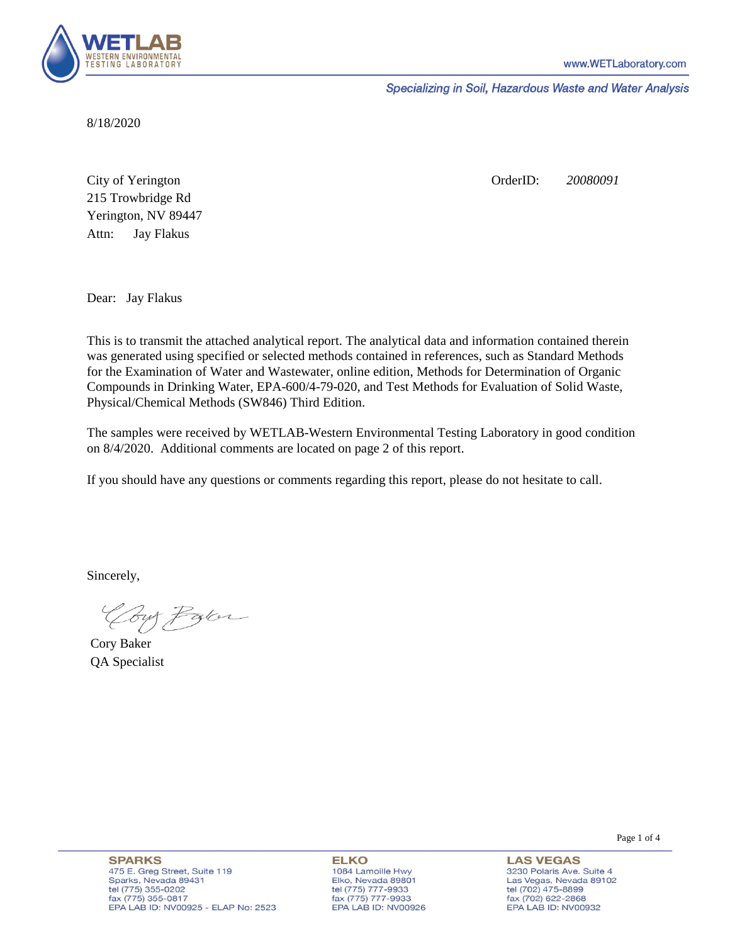

Specializing in Soil, Hazardous Waste and Water Analysis

8/18/2020

Attn: City of Yerington 215 Trowbridge Rd Jay Flakus Yerington, NV 89447 OrderID: *20080091*

Dear: Jay Flakus

This is to transmit the attached analytical report. The analytical data and information contained therein was generated using specified or selected methods contained in references, such as Standard Methods for the Examination of Water and Wastewater, online edition, Methods for Determination of Organic Compounds in Drinking Water, EPA-600/4-79-020, and Test Methods for Evaluation of Solid Waste, Physical/Chemical Methods (SW846) Third Edition.

The samples were received by WETLAB-Western Environmental Testing Laboratory in good condition on 8/4/2020. Additional comments are located on page 2 of this report.

If you should have any questions or comments regarding this report, please do not hesitate to call.

Sincerely,

Coy Palor

Cory Baker QA Specialist

**ELKO** 1084 Lamoille Hwy Elko, Nevada 89801 tel (775) 777-9933<br>fax (775) 777-9933 EPA LAB ID: NV00926

**LAS VEGAS** 3230 Polaris Ave. Suite 4 Las Vegas, Nevada 89102 tel (702) 475-8899 fax (702) 622-2868 EPA LAB ID: NV00932

Page 1 of 4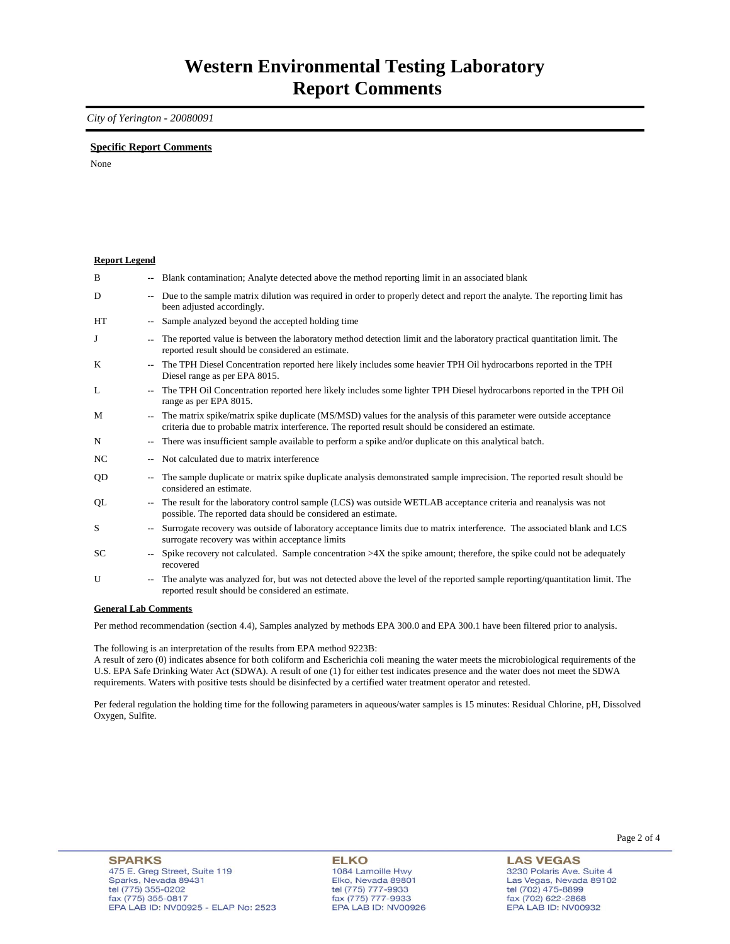### *City of Yerington - 20080091*

### **Specific Report Comments**

None

| <b>Report Legend</b> |                          |                                                                                                                                                                                                                           |
|----------------------|--------------------------|---------------------------------------------------------------------------------------------------------------------------------------------------------------------------------------------------------------------------|
| B                    |                          | -- Blank contamination; Analyte detected above the method reporting limit in an associated blank                                                                                                                          |
| D                    | ۰.                       | Due to the sample matrix dilution was required in order to properly detect and report the analyte. The reporting limit has<br>been adjusted accordingly.                                                                  |
| HT                   | ۰.                       | Sample analyzed beyond the accepted holding time                                                                                                                                                                          |
| J                    | --                       | The reported value is between the laboratory method detection limit and the laboratory practical quantitation limit. The<br>reported result should be considered an estimate.                                             |
| K                    | $\overline{\phantom{a}}$ | The TPH Diesel Concentration reported here likely includes some heavier TPH Oil hydrocarbons reported in the TPH<br>Diesel range as per EPA 8015.                                                                         |
| L                    | $- -$                    | The TPH Oil Concentration reported here likely includes some lighter TPH Diesel hydrocarbons reported in the TPH Oil<br>range as per EPA 8015.                                                                            |
| M                    | ۰.                       | The matrix spike/matrix spike duplicate (MS/MSD) values for the analysis of this parameter were outside acceptance<br>criteria due to probable matrix interference. The reported result should be considered an estimate. |
| N                    | ۰.                       | There was insufficient sample available to perform a spike and/or duplicate on this analytical batch.                                                                                                                     |
| NC                   |                          | Not calculated due to matrix interference                                                                                                                                                                                 |
| QD                   | --                       | The sample duplicate or matrix spike duplicate analysis demonstrated sample imprecision. The reported result should be<br>considered an estimate.                                                                         |
| QL                   | $\sim$                   | The result for the laboratory control sample (LCS) was outside WETLAB acceptance criteria and reanalysis was not<br>possible. The reported data should be considered an estimate.                                         |
| S                    | $-1$                     | Surrogate recovery was outside of laboratory acceptance limits due to matrix interference. The associated blank and LCS<br>surrogate recovery was within acceptance limits                                                |
| <b>SC</b>            | $\sim$                   | Spike recovery not calculated. Sample concentration $>4X$ the spike amount; therefore, the spike could not be adequately<br>recovered                                                                                     |
| U                    | ۰.                       | The analyte was analyzed for, but was not detected above the level of the reported sample reporting/quantitation limit. The<br>reported result should be considered an estimate.                                          |
| $\sim$               |                          | $\mathbf{r}$ $\alpha$                                                                                                                                                                                                     |

#### **General Lab Comments**

Per method recommendation (section 4.4), Samples analyzed by methods EPA 300.0 and EPA 300.1 have been filtered prior to analysis.

The following is an interpretation of the results from EPA method 9223B:

A result of zero (0) indicates absence for both coliform and Escherichia coli meaning the water meets the microbiological requirements of the U.S. EPA Safe Drinking Water Act (SDWA). A result of one (1) for either test indicates presence and the water does not meet the SDWA requirements. Waters with positive tests should be disinfected by a certified water treatment operator and retested.

Per federal regulation the holding time for the following parameters in aqueous/water samples is 15 minutes: Residual Chlorine, pH, Dissolved Oxygen, Sulfite.

**ELKO** 1084 Lamoille Hwy Elko, Nevada 89801 tel (775) 777-9933<br>fax (775) 777-9933 EPA LAB ID: NV00926

**LAS VEGAS** 3230 Polaris Ave. Suite 4 Las Vegas, Nevada 89102 tel (702) 475-8899<br>fax (702) 622-2868 EPA LAB ID: NV00932

Page 2 of 4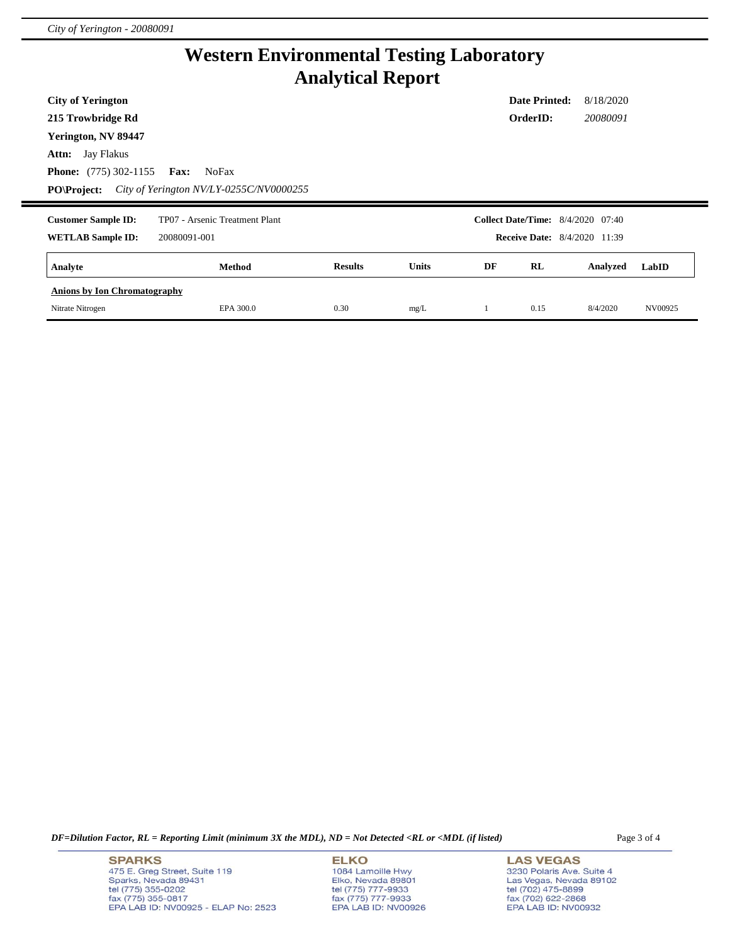# **Western Environmental Testing Laboratory Analytical Report**

| <b>City of Yerington</b>                   |                                         |                |              |    | <b>Date Printed:</b>                     | 8/18/2020 |       |
|--------------------------------------------|-----------------------------------------|----------------|--------------|----|------------------------------------------|-----------|-------|
| 215 Trowbridge Rd                          |                                         |                |              |    | OrderID:                                 | 20080091  |       |
| Yerington, NV 89447                        |                                         |                |              |    |                                          |           |       |
| <b>Attn:</b> Jay Flakus                    |                                         |                |              |    |                                          |           |       |
| <b>Phone:</b> $(775)$ 302-1155 <b>Fax:</b> | <b>NoFax</b>                            |                |              |    |                                          |           |       |
| <b>PO\Project:</b>                         | City of Yerington NV/LY-0255C/NV0000255 |                |              |    |                                          |           |       |
|                                            |                                         |                |              |    |                                          |           |       |
| <b>Customer Sample ID:</b>                 | TP07 - Arsenic Treatment Plant          |                |              |    | <b>Collect Date/Time:</b> 8/4/2020 07:40 |           |       |
| <b>WETLAB Sample ID:</b>                   | 20080091-001                            |                |              |    | <b>Receive Date:</b> 8/4/2020 11:39      |           |       |
| Analyte                                    | <b>Method</b>                           | <b>Results</b> | <b>Units</b> | DF | RL                                       | Analyzed  | LabID |
| <b>Anions by Ion Chromatography</b>        |                                         |                |              |    |                                          |           |       |

*DF=Dilution Factor, RL = Reporting Limit (minimum 3X the MDL), ND = Not Detected <RL or <MDL (if listed)* Page 3 of 4

**SPARKS** 475 E. Greg Street, Suite 119 Sparks, Nevada 89431<br>tel (775) 355-0202<br>fax (775) 355-0817 EPA LAB ID: NV00925 - ELAP No: 2523 **ELKO** 1084 Lamoille Hwy Elko, Nevada 89801<br>tel (775) 777-9933<br>fax (775) 777-9933 EPA LAB ID: NV00926

**LAS VEGAS** 3230 Polaris Ave. Suite 4 Las Vegas, Nevada 89102<br>tel (702) 475-8899<br>fax (702) 622-2868<br>EPA LAB ID: NV00932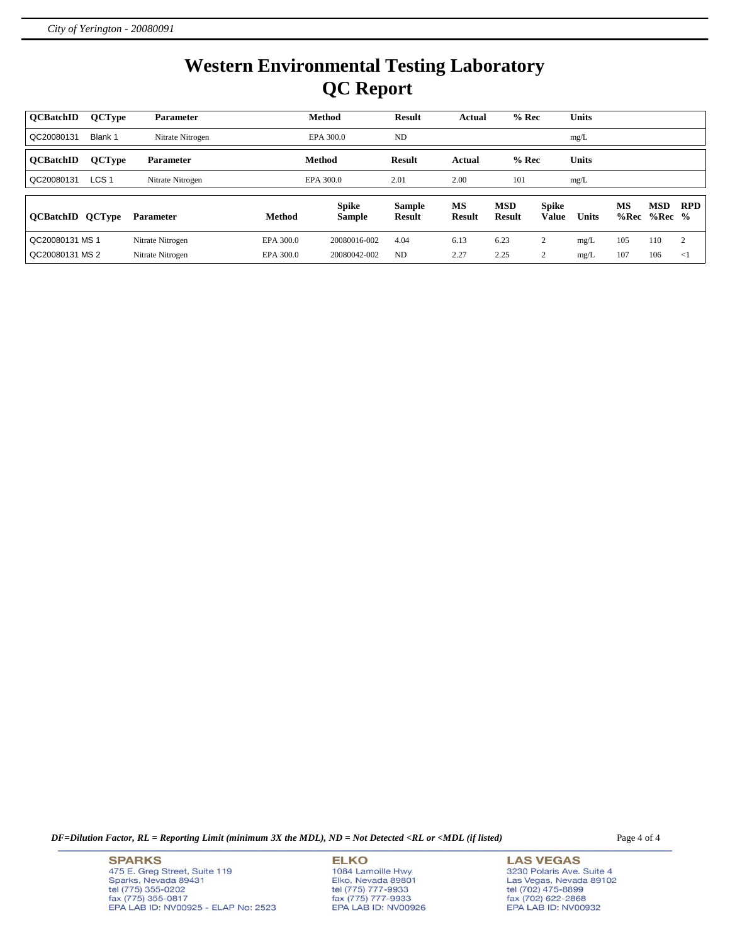# **Western Environmental Testing Laboratory QC Report**

| <b>OCBatchID</b> | <b>QCType</b>    | <b>Parameter</b> |               | <b>Method</b> | <b>Result</b> | Actual        | $%$ Rec       |              | <b>Units</b> |      |            |                |
|------------------|------------------|------------------|---------------|---------------|---------------|---------------|---------------|--------------|--------------|------|------------|----------------|
| QC20080131       | Blank 1          | Nitrate Nitrogen |               | EPA 300.0     | <b>ND</b>     |               |               |              | mg/L         |      |            |                |
| <b>OCBatchID</b> | <b>QCType</b>    | <b>Parameter</b> |               | <b>Method</b> | <b>Result</b> | Actual        | $%$ Rec       |              | <b>Units</b> |      |            |                |
| QC20080131       | LCS <sub>1</sub> | Nitrate Nitrogen |               | EPA 300.0     | 2.01          | 2.00          | 101           |              | mg/L         |      |            |                |
|                  |                  |                  |               | <b>Spike</b>  | <b>Sample</b> | <b>MS</b>     | <b>MSD</b>    | <b>Spike</b> |              | MS   | <b>MSD</b> | <b>RPD</b>     |
| <b>OCBatchID</b> | <b>QCType</b>    | <b>Parameter</b> | <b>Method</b> | <b>Sample</b> | <b>Result</b> | <b>Result</b> | <b>Result</b> | <b>Value</b> | <b>Units</b> | %Rec | $%Rec$ %   |                |
| QC20080131 MS 1  |                  | Nitrate Nitrogen | EPA 300.0     | 20080016-002  | 4.04          | 6.13          | 6.23          | 2            | mg/L         | 105  | 110        | $\overline{c}$ |
| QC20080131 MS 2  |                  | Nitrate Nitrogen | EPA 300.0     | 20080042-002  | <b>ND</b>     | 2.27          | 2.25          | ◠            | mg/L         | 107  | 106        | $\leq$ 1       |

*DF=Dilution Factor, RL = Reporting Limit (minimum 3X the MDL), ND = Not Detected <RL or <MDL (if listed)* Page 4 of 4

**SPARKS** 475 E. Greg Street, Suite 119 Sparks, Nevada 89431<br>tel (775) 355-0202<br>fax (775) 355-0817 EPA LAB ID: NV00925 - ELAP No: 2523 **ELKO** 1084 Lamoille Hwy Elko, Nevada 89801<br>tel (775) 777-9933<br>fax (775) 777-9933 EPA LAB ID: NV00926

**LAS VEGAS** 3230 Polaris Ave. Suite 4 Las Vegas, Nevada 89102<br>tel (702) 475-8899<br>fax (702) 622-2868<br>EPA LAB ID: NV00932